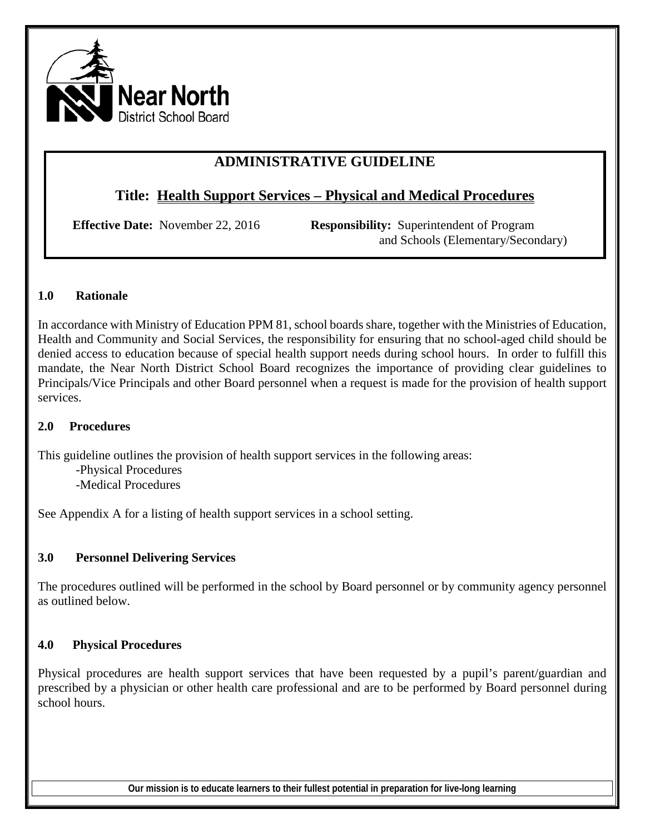

# **ADMINISTRATIVE GUIDELINE**

## **Title: Health Support Services – Physical and Medical Procedures**

**Effective Date:** November 22, 2016 **Responsibility:** Superintendent of Program and Schools (Elementary/Secondary)

### **1.0 Rationale**

In accordance with Ministry of Education PPM 81, school boards share, together with the Ministries of Education, Health and Community and Social Services, the responsibility for ensuring that no school-aged child should be denied access to education because of special health support needs during school hours. In order to fulfill this mandate, the Near North District School Board recognizes the importance of providing clear guidelines to Principals/Vice Principals and other Board personnel when a request is made for the provision of health support services.

### **2.0 Procedures**

This guideline outlines the provision of health support services in the following areas:

-Physical Procedures -Medical Procedures

See Appendix A for a listing of health support services in a school setting.

### **3.0 Personnel Delivering Services**

The procedures outlined will be performed in the school by Board personnel or by community agency personnel as outlined below.

### **4.0 Physical Procedures**

Physical procedures are health support services that have been requested by a pupil's parent/guardian and prescribed by a physician or other health care professional and are to be performed by Board personnel during school hours.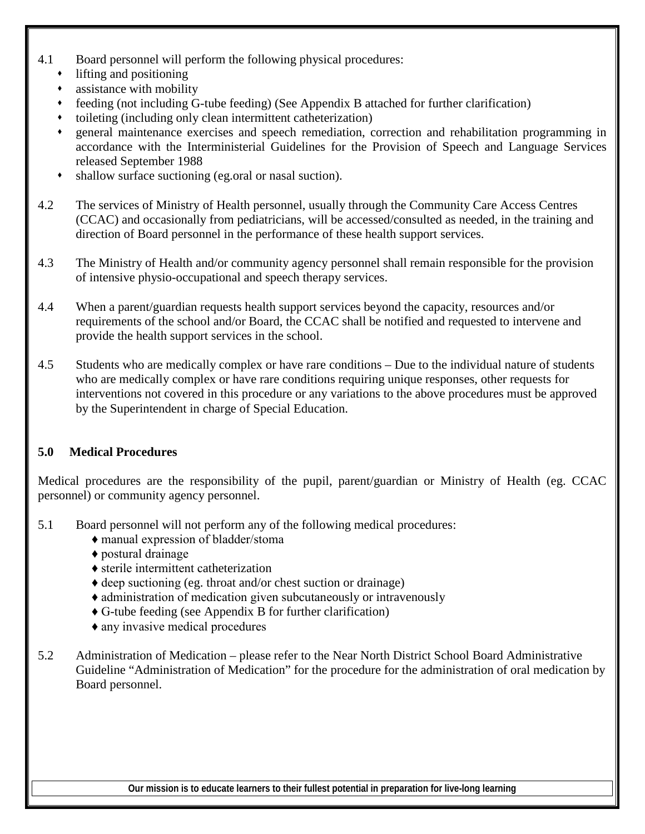- 4.1 Board personnel will perform the following physical procedures:
	- lifting and positioning
	- assistance with mobility
	- feeding (not including G-tube feeding) (See Appendix B attached for further clarification)
	- toileting (including only clean intermittent catheterization)
	- general maintenance exercises and speech remediation, correction and rehabilitation programming in accordance with the Interministerial Guidelines for the Provision of Speech and Language Services released September 1988
	- shallow surface suctioning (eg.oral or nasal suction).
- 4.2 The services of Ministry of Health personnel, usually through the Community Care Access Centres (CCAC) and occasionally from pediatricians, will be accessed/consulted as needed, in the training and direction of Board personnel in the performance of these health support services.
- 4.3 The Ministry of Health and/or community agency personnel shall remain responsible for the provision of intensive physio-occupational and speech therapy services.
- 4.4 When a parent/guardian requests health support services beyond the capacity, resources and/or requirements of the school and/or Board, the CCAC shall be notified and requested to intervene and provide the health support services in the school.
- 4.5 Students who are medically complex or have rare conditions Due to the individual nature of students who are medically complex or have rare conditions requiring unique responses, other requests for interventions not covered in this procedure or any variations to the above procedures must be approved by the Superintendent in charge of Special Education.

## **5.0 Medical Procedures**

Medical procedures are the responsibility of the pupil, parent/guardian or Ministry of Health (eg. CCAC personnel) or community agency personnel.

- 5.1 Board personnel will not perform any of the following medical procedures:
	- ♦ manual expression of bladder/stoma
	- ♦ postural drainage
	- ♦ sterile intermittent catheterization
	- ♦ deep suctioning (eg. throat and/or chest suction or drainage)
	- ♦ administration of medication given subcutaneously or intravenously
	- ♦ G-tube feeding (see Appendix B for further clarification)
	- ♦ any invasive medical procedures
- 5.2 Administration of Medication please refer to the Near North District School Board Administrative Guideline "Administration of Medication" for the procedure for the administration of oral medication by Board personnel.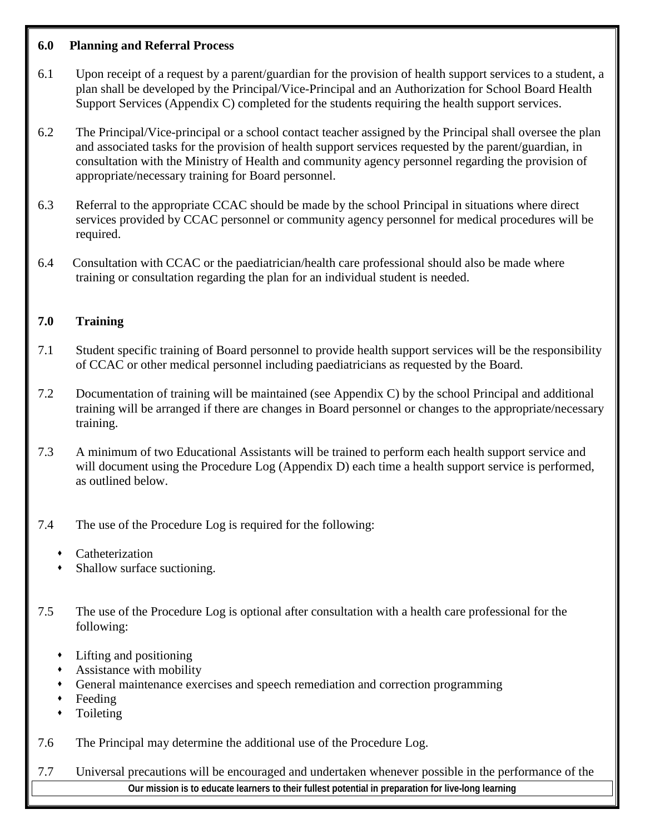#### **6.0 Planning and Referral Process**

- 6.1 Upon receipt of a request by a parent/guardian for the provision of health support services to a student, a plan shall be developed by the Principal/Vice-Principal and an Authorization for School Board Health Support Services (Appendix C) completed for the students requiring the health support services.
- 6.2 The Principal/Vice-principal or a school contact teacher assigned by the Principal shall oversee the plan and associated tasks for the provision of health support services requested by the parent/guardian, in consultation with the Ministry of Health and community agency personnel regarding the provision of appropriate/necessary training for Board personnel.
- 6.3 Referral to the appropriate CCAC should be made by the school Principal in situations where direct services provided by CCAC personnel or community agency personnel for medical procedures will be required.
- 6.4 Consultation with CCAC or the paediatrician/health care professional should also be made where training or consultation regarding the plan for an individual student is needed.

## **7.0 Training**

- 7.1 Student specific training of Board personnel to provide health support services will be the responsibility of CCAC or other medical personnel including paediatricians as requested by the Board.
- 7.2 Documentation of training will be maintained (see Appendix C) by the school Principal and additional training will be arranged if there are changes in Board personnel or changes to the appropriate/necessary training.
- 7.3 A minimum of two Educational Assistants will be trained to perform each health support service and will document using the Procedure Log (Appendix D) each time a health support service is performed, as outlined below.
- 7.4 The use of the Procedure Log is required for the following:
	- Catheterization
	- Shallow surface suctioning.
- 7.5 The use of the Procedure Log is optional after consultation with a health care professional for the following:
	- Lifting and positioning
	- Assistance with mobility
	- General maintenance exercises and speech remediation and correction programming
	- Feeding
	- Toileting
- 7.6 The Principal may determine the additional use of the Procedure Log.
- **Our mission is to educate learners to their fullest potential in preparation for live-long learning** 7.7 Universal precautions will be encouraged and undertaken whenever possible in the performance of the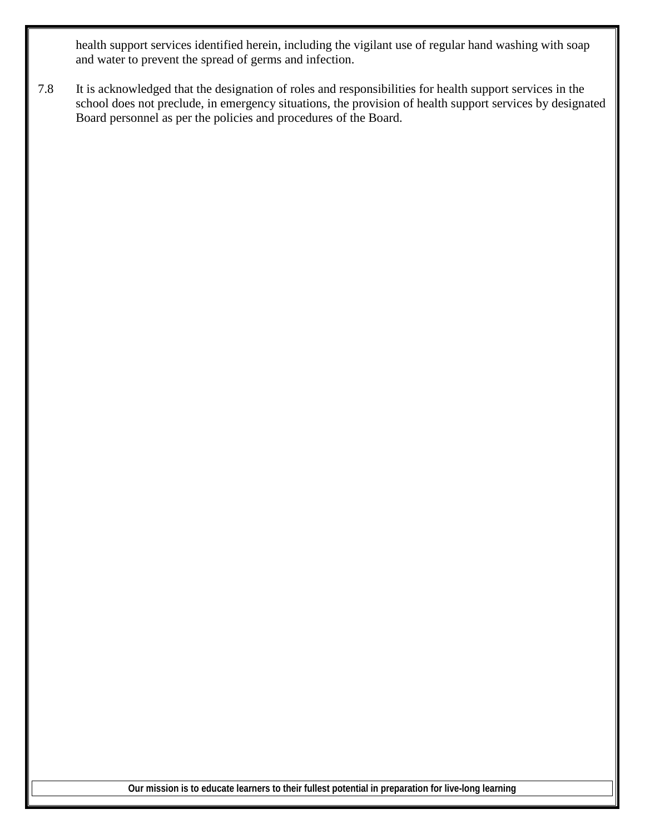health support services identified herein, including the vigilant use of regular hand washing with soap and water to prevent the spread of germs and infection.

7.8 It is acknowledged that the designation of roles and responsibilities for health support services in the school does not preclude, in emergency situations, the provision of health support services by designated Board personnel as per the policies and procedures of the Board.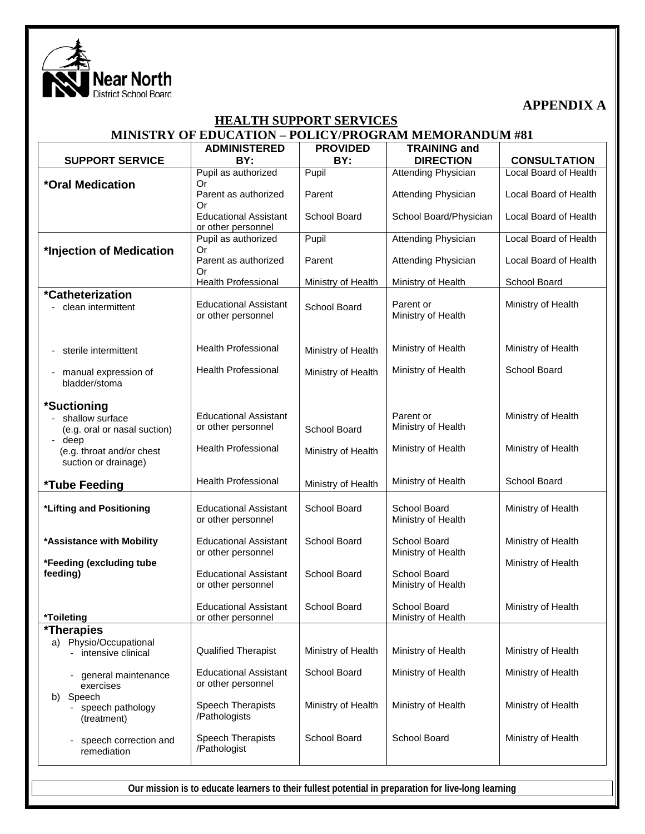

**APPENDIX A**

#### **HEALTH SUPPORT SERVICES MINISTRY OF EDUCATION – POLICY/PROGRAM MEMORANDUM #81**

|                                                     | <b>ADMINISTERED</b>                                | <b>PROVIDED</b>    | <b>TRAINING and</b>                |                       |
|-----------------------------------------------------|----------------------------------------------------|--------------------|------------------------------------|-----------------------|
| <b>SUPPORT SERVICE</b>                              | BY:                                                | BY:                | <b>DIRECTION</b>                   | <b>CONSULTATION</b>   |
|                                                     | Pupil as authorized                                | Pupil              | <b>Attending Physician</b>         | Local Board of Health |
| *Oral Medication                                    | Or                                                 |                    |                                    |                       |
|                                                     | Parent as authorized<br>Or                         | Parent             | <b>Attending Physician</b>         | Local Board of Health |
|                                                     | <b>Educational Assistant</b>                       | School Board       | School Board/Physician             | Local Board of Health |
|                                                     | or other personnel                                 |                    |                                    |                       |
|                                                     | Pupil as authorized                                | Pupil              | Attending Physician                | Local Board of Health |
| *Injection of Medication                            | Or<br>Parent as authorized                         | Parent             | <b>Attending Physician</b>         | Local Board of Health |
|                                                     | Or                                                 |                    |                                    |                       |
|                                                     | <b>Health Professional</b>                         | Ministry of Health | Ministry of Health                 | School Board          |
| *Catheterization                                    |                                                    |                    |                                    |                       |
| clean intermittent                                  | <b>Educational Assistant</b>                       | School Board       | Parent or                          | Ministry of Health    |
|                                                     | or other personnel                                 |                    | Ministry of Health                 |                       |
|                                                     |                                                    |                    |                                    |                       |
| sterile intermittent                                | <b>Health Professional</b>                         | Ministry of Health | Ministry of Health                 | Ministry of Health    |
|                                                     | <b>Health Professional</b>                         |                    |                                    | School Board          |
| manual expression of<br>bladder/stoma               |                                                    | Ministry of Health | Ministry of Health                 |                       |
|                                                     |                                                    |                    |                                    |                       |
| *Suctioning                                         |                                                    |                    |                                    |                       |
| shallow surface                                     | <b>Educational Assistant</b>                       |                    | Parent or                          | Ministry of Health    |
| (e.g. oral or nasal suction)                        | or other personnel                                 | School Board       | Ministry of Health                 |                       |
| deep<br>$\blacksquare$<br>(e.g. throat and/or chest | <b>Health Professional</b>                         | Ministry of Health | Ministry of Health                 | Ministry of Health    |
| suction or drainage)                                |                                                    |                    |                                    |                       |
|                                                     |                                                    |                    |                                    |                       |
| *Tube Feeding                                       | <b>Health Professional</b>                         | Ministry of Health | Ministry of Health                 | School Board          |
|                                                     |                                                    | School Board       | School Board                       |                       |
| *Lifting and Positioning                            | <b>Educational Assistant</b><br>or other personnel |                    | Ministry of Health                 | Ministry of Health    |
|                                                     |                                                    |                    |                                    |                       |
| *Assistance with Mobility                           | <b>Educational Assistant</b>                       | School Board       | School Board                       | Ministry of Health    |
| *Feeding (excluding tube                            | or other personnel                                 |                    | Ministry of Health                 | Ministry of Health    |
| feeding)                                            | <b>Educational Assistant</b>                       | School Board       | School Board                       |                       |
|                                                     | or other personnel                                 |                    | Ministry of Health                 |                       |
|                                                     |                                                    |                    |                                    |                       |
| *Toileting                                          | <b>Educational Assistant</b><br>or other personnel | School Board       | School Board<br>Ministry of Health | Ministry of Health    |
| <i><b>*Therapies</b></i>                            |                                                    |                    |                                    |                       |
| a) Physio/Occupational                              |                                                    |                    |                                    |                       |
| intensive clinical                                  | <b>Qualified Therapist</b>                         | Ministry of Health | Ministry of Health                 | Ministry of Health    |
| general maintenance                                 | <b>Educational Assistant</b>                       | School Board       | Ministry of Health                 | Ministry of Health    |
| exercises                                           | or other personnel                                 |                    |                                    |                       |
| Speech<br>b)                                        |                                                    |                    |                                    |                       |
| speech pathology                                    | Speech Therapists                                  | Ministry of Health | Ministry of Health                 | Ministry of Health    |
| (treatment)                                         | /Pathologists                                      |                    |                                    |                       |
| speech correction and                               | Speech Therapists                                  | School Board       | School Board                       | Ministry of Health    |
| remediation                                         | /Pathologist                                       |                    |                                    |                       |
|                                                     |                                                    |                    |                                    |                       |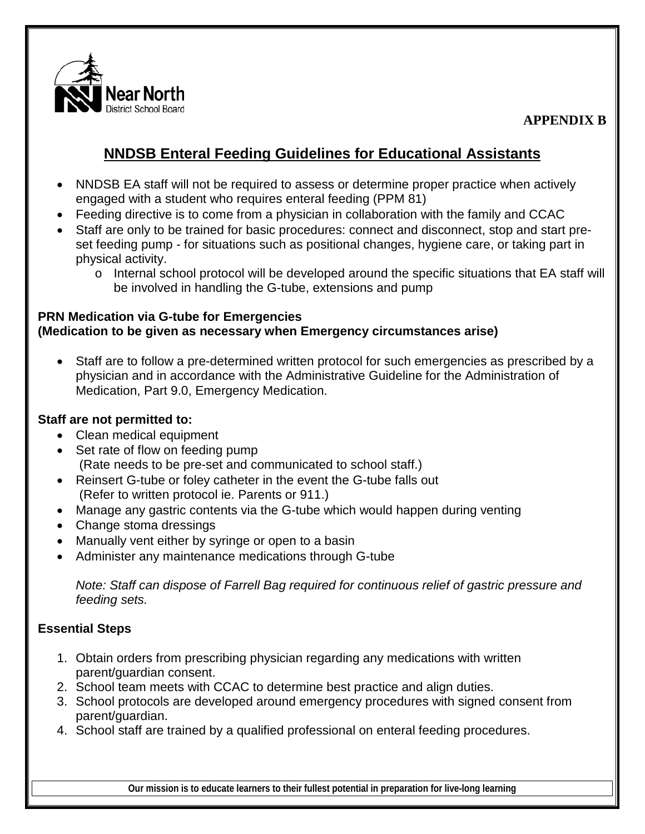

**APPENDIX B**

# **NNDSB Enteral Feeding Guidelines for Educational Assistants**

- NNDSB EA staff will not be required to assess or determine proper practice when actively engaged with a student who requires enteral feeding (PPM 81)
- Feeding directive is to come from a physician in collaboration with the family and CCAC
- Staff are only to be trained for basic procedures: connect and disconnect, stop and start preset feeding pump - for situations such as positional changes, hygiene care, or taking part in physical activity.
	- o Internal school protocol will be developed around the specific situations that EA staff will be involved in handling the G-tube, extensions and pump

### **PRN Medication via G-tube for Emergencies (Medication to be given as necessary when Emergency circumstances arise)**

• Staff are to follow a pre-determined written protocol for such emergencies as prescribed by a physician and in accordance with the Administrative Guideline for the Administration of Medication, Part 9.0, Emergency Medication.

### **Staff are not permitted to:**

- Clean medical equipment
- Set rate of flow on feeding pump (Rate needs to be pre-set and communicated to school staff.)
- Reinsert G-tube or foley catheter in the event the G-tube falls out (Refer to written protocol ie. Parents or 911.)
- Manage any gastric contents via the G-tube which would happen during venting
- Change stoma dressings
- Manually vent either by syringe or open to a basin
- Administer any maintenance medications through G-tube

*Note: Staff can dispose of Farrell Bag required for continuous relief of gastric pressure and feeding sets.* 

## **Essential Steps**

- 1. Obtain orders from prescribing physician regarding any medications with written parent/guardian consent.
- 2. School team meets with CCAC to determine best practice and align duties.
- 3. School protocols are developed around emergency procedures with signed consent from parent/guardian.
- 4. School staff are trained by a qualified professional on enteral feeding procedures.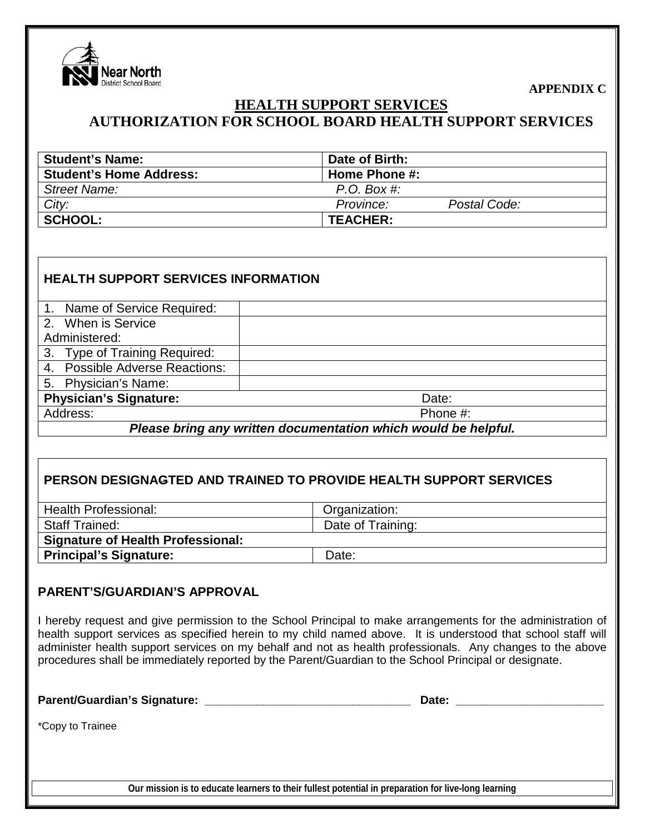

**APPENDIX C**

# **HEALTH SUPPORT SERVICES AUTHORIZATION FOR SCHOOL BOARD HEALTH SUPPORT SERVICES**

| <b>Student's Name:</b>         | Date of Birth:            |
|--------------------------------|---------------------------|
| <b>Student's Home Address:</b> | Home Phone #:             |
| Street Name:                   | $P.O.$ Box #:             |
| City:                          | Postal Code:<br>Province: |
| <b>SCHOOL:</b>                 | <b>TEACHER:</b>           |

| <b>HEALTH SUPPORT SERVICES INFORMATION</b>                     |          |  |  |  |
|----------------------------------------------------------------|----------|--|--|--|
| 1. Name of Service Required:                                   |          |  |  |  |
| 2. When is Service                                             |          |  |  |  |
| Administered:                                                  |          |  |  |  |
| <b>Type of Training Required:</b><br>3.                        |          |  |  |  |
| 4. Possible Adverse Reactions:                                 |          |  |  |  |
| 5. Physician's Name:                                           |          |  |  |  |
| <b>Physician's Signature:</b>                                  | Date:    |  |  |  |
| Address:                                                       | Phone #: |  |  |  |
| Please bring any written documentation which would be helpful. |          |  |  |  |

## **PERSON DESIGNAGTED AND TRAINED TO PROVIDE HEALTH SUPPORT SERVICES**

| <b>Health Professional:</b>              | Organization:     |  |  |
|------------------------------------------|-------------------|--|--|
| <b>Staff Trained:</b>                    | Date of Training: |  |  |
| <b>Signature of Health Professional:</b> |                   |  |  |
| <b>Principal's Signature:</b>            | Date:             |  |  |

#### **PARENT'S/GUARDIAN'S APPROVAL**

I hereby request and give permission to the School Principal to make arrangements for the administration of health support services as specified herein to my child named above. It is understood that school staff will administer health support services on my behalf and not as health professionals. Any changes to the above procedures shall be immediately reported by the Parent/Guardian to the School Principal or designate.

**Parent/Guardian's Signature: \_\_\_\_\_\_\_\_\_\_\_\_\_\_\_\_\_\_\_\_\_\_\_\_\_\_\_\_\_\_\_\_ Date: \_\_\_\_\_\_\_\_\_\_\_\_\_\_\_\_\_\_\_\_\_\_\_**

\*Copy to Trainee